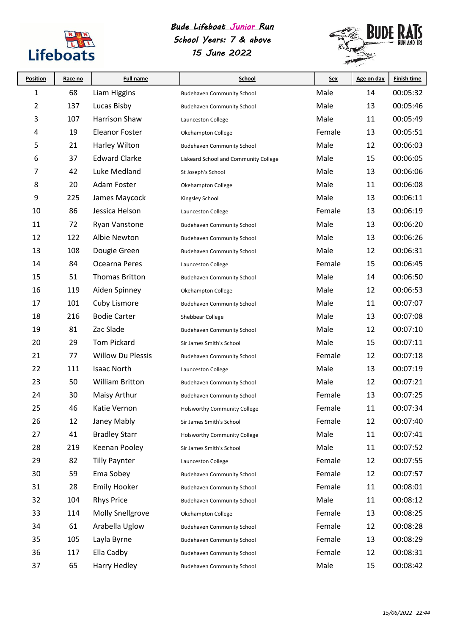

## *Bude Lifeboat Junior Run*

## *School Years: 7 & above 15 June 2022*



| <b>Position</b> | Race no | <b>Full name</b>         | School                                | <u>Sex</u> | Age on day | <b>Finish time</b> |
|-----------------|---------|--------------------------|---------------------------------------|------------|------------|--------------------|
| 1               | 68      | Liam Higgins             | <b>Budehaven Community School</b>     | Male       | 14         | 00:05:32           |
| 2               | 137     | Lucas Bisby              | <b>Budehaven Community School</b>     | Male       | 13         | 00:05:46           |
| 3               | 107     | Harrison Shaw            | Launceston College                    | Male       | 11         | 00:05:49           |
| 4               | 19      | <b>Eleanor Foster</b>    | Okehampton College                    | Female     | 13         | 00:05:51           |
| 5               | 21      | Harley Wilton            | <b>Budehaven Community School</b>     | Male       | 12         | 00:06:03           |
| 6               | 37      | <b>Edward Clarke</b>     | Liskeard School and Community College | Male       | 15         | 00:06:05           |
| 7               | 42      | Luke Medland             | St Joseph's School                    | Male       | 13         | 00:06:06           |
| 8               | 20      | Adam Foster              | Okehampton College                    | Male       | 11         | 00:06:08           |
| 9               | 225     | James Maycock            | Kingsley School                       | Male       | 13         | 00:06:11           |
| 10              | 86      | Jessica Helson           | Launceston College                    | Female     | 13         | 00:06:19           |
| 11              | 72      | <b>Ryan Vanstone</b>     | <b>Budehaven Community School</b>     | Male       | 13         | 00:06:20           |
| 12              | 122     | Albie Newton             | <b>Budehaven Community School</b>     | Male       | 13         | 00:06:26           |
| 13              | 108     | Dougie Green             | <b>Budehaven Community School</b>     | Male       | 12         | 00:06:31           |
| 14              | 84      | Ocearna Peres            | Launceston College                    | Female     | 15         | 00:06:45           |
| 15              | 51      | <b>Thomas Britton</b>    | <b>Budehaven Community School</b>     | Male       | 14         | 00:06:50           |
| 16              | 119     | Aiden Spinney            | Okehampton College                    | Male       | 12         | 00:06:53           |
| 17              | 101     | Cuby Lismore             | <b>Budehaven Community School</b>     | Male       | 11         | 00:07:07           |
| 18              | 216     | <b>Bodie Carter</b>      | Shebbear College                      | Male       | 13         | 00:07:08           |
| 19              | 81      | Zac Slade                | <b>Budehaven Community School</b>     | Male       | 12         | 00:07:10           |
| 20              | 29      | <b>Tom Pickard</b>       | Sir James Smith's School              | Male       | 15         | 00:07:11           |
| 21              | 77      | <b>Willow Du Plessis</b> | <b>Budehaven Community School</b>     | Female     | 12         | 00:07:18           |
| 22              | 111     | <b>Isaac North</b>       | Launceston College                    | Male       | 13         | 00:07:19           |
| 23              | 50      | <b>William Britton</b>   | <b>Budehaven Community School</b>     | Male       | 12         | 00:07:21           |
| 24              | 30      | Maisy Arthur             | <b>Budehaven Community School</b>     | Female     | 13         | 00:07:25           |
| 25              | 46      | Katie Vernon             | Holsworthy Community College          | Female     | 11         | 00:07:34           |
| 26              | 12      | Janey Mably              | Sir James Smith's School              | Female     | 12         | 00:07:40           |
| 27              | 41      | <b>Bradley Starr</b>     | <b>Holsworthy Community College</b>   | Male       | 11         | 00:07:41           |
| 28              | 219     | Keenan Pooley            | Sir James Smith's School              | Male       | 11         | 00:07:52           |
| 29              | 82      | <b>Tilly Paynter</b>     | Launceston College                    | Female     | 12         | 00:07:55           |
| 30              | 59      | Ema Sobey                | <b>Budehaven Community School</b>     | Female     | 12         | 00:07:57           |
| 31              | 28      | <b>Emily Hooker</b>      | <b>Budehaven Community School</b>     | Female     | 11         | 00:08:01           |
| 32              | 104     | <b>Rhys Price</b>        | <b>Budehaven Community School</b>     | Male       | 11         | 00:08:12           |
| 33              | 114     | <b>Molly Snellgrove</b>  | Okehampton College                    | Female     | 13         | 00:08:25           |
| 34              | 61      | Arabella Uglow           | <b>Budehaven Community School</b>     | Female     | 12         | 00:08:28           |
| 35              | 105     | Layla Byrne              | <b>Budehaven Community School</b>     | Female     | 13         | 00:08:29           |
| 36              | 117     | Ella Cadby               | <b>Budehaven Community School</b>     | Female     | 12         | 00:08:31           |
| 37              | 65      | Harry Hedley             | <b>Budehaven Community School</b>     | Male       | 15         | 00:08:42           |